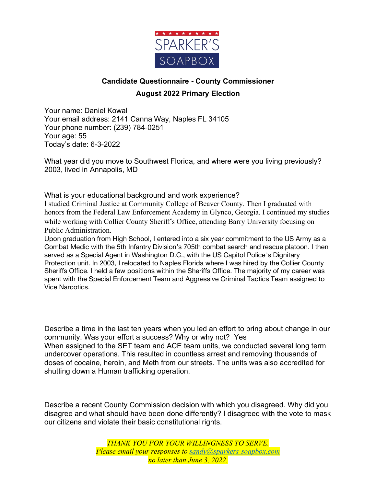

## **Candidate Questionnaire - County Commissioner**

## **August 2022 Primary Election**

Your name: Daniel Kowal Your email address: 2141 Canna Way, Naples FL 34105 Your phone number: (239) 784-0251 Your age: 55 Today's date: 6-3-2022

What year did you move to Southwest Florida, and where were you living previously? 2003, lived in Annapolis, MD

What is your educational background and work experience?

I studied Criminal Justice at Community College of Beaver County. Then I graduated with honors from the Federal Law Enforcement Academy in Glynco, Georgia. I continued my studies while working with Collier County Sheriff's Office, attending Barry University focusing on Public Administration.

Upon graduation from High School, I entered into a six year commitment to the US Army as a Combat Medic with the 5th Infantry Division's 705th combat search and rescue platoon. I then served as a Special Agent in Washington D.C., with the US Capitol Police's Dignitary Protection unit. In 2003, I relocated to Naples Florida where I was hired by the Collier County Sheriffs Office. I held a few positions within the Sheriffs Office. The majority of my career was spent with the Special Enforcement Team and Aggressive Criminal Tactics Team assigned to Vice Narcotics.

Describe a time in the last ten years when you led an effort to bring about change in our community. Was your effort a success? Why or why not? Yes When assigned to the SET team and ACE team units, we conducted several long term undercover operations. This resulted in countless arrest and removing thousands of doses of cocaine, heroin, and Meth from our streets. The units was also accredited for shutting down a Human trafficking operation.

Describe a recent County Commission decision with which you disagreed. Why did you disagree and what should have been done differently? I disagreed with the vote to mask our citizens and violate their basic constitutional rights.